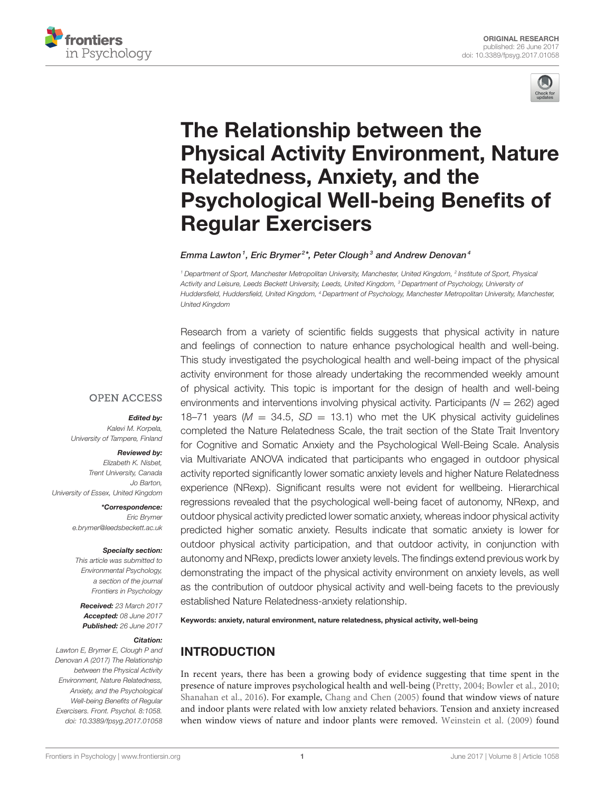



# The Relationship between the [Physical Activity Environment, Nature](http://journal.frontiersin.org/article/10.3389/fpsyg.2017.01058/abstract) Relatedness, Anxiety, and the Psychological Well-being Benefits of Regular Exercisers

### [Emma Lawton](http://loop.frontiersin.org/people/446082/overview) $^{\textrm{\textit{1}}},$  [Eric Brymer](http://loop.frontiersin.org/people/402313/overview) $^{2*}$ , [Peter Clough](http://loop.frontiersin.org/people/298014/overview) $^{\textrm{\textit{3}}}$  and [Andrew Denovan](http://loop.frontiersin.org/people/213480/overview) $^{\textrm{\textit{4}}}$

*<sup>1</sup> Department of Sport, Manchester Metropolitan University, Manchester, United Kingdom, <sup>2</sup> Institute of Sport, Physical Activity and Leisure, Leeds Beckett University, Leeds, United Kingdom, <sup>3</sup> Department of Psychology, University of Huddersfield, Huddersfield, United Kingdom, <sup>4</sup> Department of Psychology, Manchester Metropolitan University, Manchester, United Kingdom*

Research from a variety of scientific fields suggests that physical activity in nature and feelings of connection to nature enhance psychological health and well-being.

This study investigated the psychological health and well-being impact of the physical activity environment for those already undertaking the recommended weekly amount of physical activity. This topic is important for the design of health and well-being environments and interventions involving physical activity. Participants ( $N = 262$ ) aged 18–71 years ( $M = 34.5$ ,  $SD = 13.1$ ) who met the UK physical activity guidelines completed the Nature Relatedness Scale, the trait section of the State Trait Inventory for Cognitive and Somatic Anxiety and the Psychological Well-Being Scale. Analysis via Multivariate ANOVA indicated that participants who engaged in outdoor physical activity reported significantly lower somatic anxiety levels and higher Nature Relatedness experience (NRexp). Significant results were not evident for wellbeing. Hierarchical regressions revealed that the psychological well-being facet of autonomy, NRexp, and outdoor physical activity predicted lower somatic anxiety, whereas indoor physical activity predicted higher somatic anxiety. Results indicate that somatic anxiety is lower for outdoor physical activity participation, and that outdoor activity, in conjunction with autonomy and NRexp, predicts lower anxiety levels. The findings extend previous work by demonstrating the impact of the physical activity environment on anxiety levels, as well as the contribution of outdoor physical activity and well-being facets to the previously established Nature Relatedness-anxiety relationship.

#### Keywords: anxiety, natural environment, nature relatedness, physical activity, well-being

# INTRODUCTION

In recent years, there has been a growing body of evidence suggesting that time spent in the presence of nature improves psychological health and well-being [\(Pretty, 2004;](#page-10-0) [Bowler et al., 2010;](#page-9-0) [Shanahan et al., 2016\)](#page-10-1). For example, [Chang and Chen \(2005\)](#page-9-1) found that window views of nature and indoor plants were related with low anxiety related behaviors. Tension and anxiety increased when window views of nature and indoor plants were removed. [Weinstein et al. \(2009\)](#page-10-2) found

## **OPEN ACCESS**

#### Edited by:

*Kalevi M. Korpela, University of Tampere, Finland*

#### Reviewed by:

*Elizabeth K. Nisbet, Trent University, Canada Jo Barton, University of Essex, United Kingdom*

> \*Correspondence: *Eric Brymer [e.brymer@leedsbeckett.ac.uk](mailto:e.brymer@leedsbeckett.ac.uk)*

#### Specialty section:

*This article was submitted to Environmental Psychology, a section of the journal Frontiers in Psychology*

Received: *23 March 2017* Accepted: *08 June 2017* Published: *26 June 2017*

#### Citation:

*Lawton E, Brymer E, Clough P and Denovan A (2017) The Relationship between the Physical Activity Environment, Nature Relatedness, Anxiety, and the Psychological Well-being Benefits of Regular Exercisers. Front. Psychol. 8:1058. doi: [10.3389/fpsyg.2017.01058](https://doi.org/10.3389/fpsyg.2017.01058)*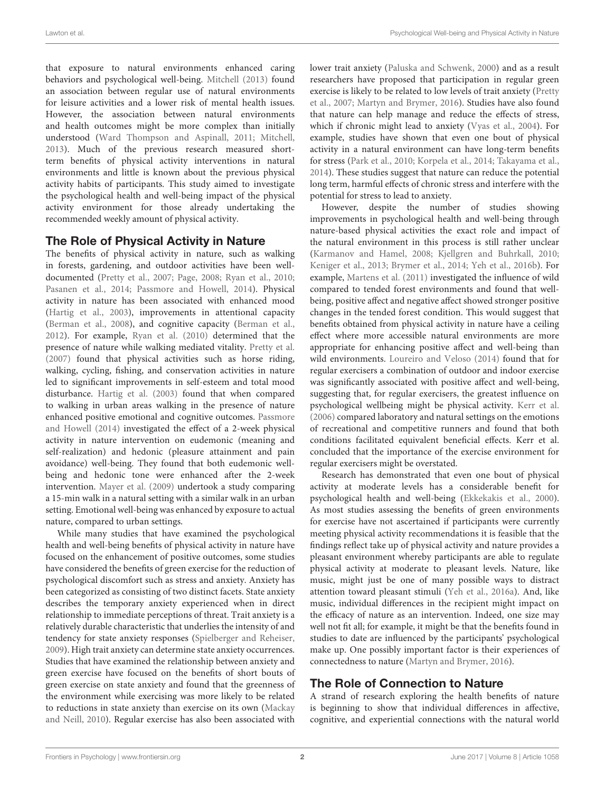that exposure to natural environments enhanced caring behaviors and psychological well-being. [Mitchell \(2013\)](#page-9-2) found an association between regular use of natural environments for leisure activities and a lower risk of mental health issues. However, the association between natural environments and health outcomes might be more complex than initially understood [\(Ward Thompson and Aspinall, 2011;](#page-10-3) [Mitchell,](#page-9-2) [2013\)](#page-9-2). Much of the previous research measured shortterm benefits of physical activity interventions in natural environments and little is known about the previous physical activity habits of participants. This study aimed to investigate the psychological health and well-being impact of the physical activity environment for those already undertaking the recommended weekly amount of physical activity.

# The Role of Physical Activity in Nature

The benefits of physical activity in nature, such as walking in forests, gardening, and outdoor activities have been welldocumented [\(Pretty et al., 2007;](#page-10-4) [Page, 2008;](#page-9-3) [Ryan et al., 2010;](#page-10-5) [Pasanen et al., 2014;](#page-9-4) [Passmore and Howell, 2014\)](#page-10-6). Physical activity in nature has been associated with enhanced mood [\(Hartig et al., 2003\)](#page-9-5), improvements in attentional capacity [\(Berman et al., 2008\)](#page-9-6), and cognitive capacity [\(Berman et al.,](#page-9-7) [2012\)](#page-9-7). For example, [Ryan et al. \(2010\)](#page-10-5) determined that the presence of nature while walking mediated vitality. [Pretty et al.](#page-10-4) [\(2007\)](#page-10-4) found that physical activities such as horse riding, walking, cycling, fishing, and conservation activities in nature led to significant improvements in self-esteem and total mood disturbance. [Hartig et al. \(2003\)](#page-9-5) found that when compared to walking in urban areas walking in the presence of nature enhanced positive emotional and cognitive outcomes. Passmore and Howell [\(2014\)](#page-10-6) investigated the effect of a 2-week physical activity in nature intervention on eudemonic (meaning and self-realization) and hedonic (pleasure attainment and pain avoidance) well-being. They found that both eudemonic wellbeing and hedonic tone were enhanced after the 2-week intervention. [Mayer et al. \(2009\)](#page-9-8) undertook a study comparing a 15-min walk in a natural setting with a similar walk in an urban setting. Emotional well-being was enhanced by exposure to actual nature, compared to urban settings.

While many studies that have examined the psychological health and well-being benefits of physical activity in nature have focused on the enhancement of positive outcomes, some studies have considered the benefits of green exercise for the reduction of psychological discomfort such as stress and anxiety. Anxiety has been categorized as consisting of two distinct facets. State anxiety describes the temporary anxiety experienced when in direct relationship to immediate perceptions of threat. Trait anxiety is a relatively durable characteristic that underlies the intensity of and tendency for state anxiety responses [\(Spielberger and Reheiser,](#page-10-7) [2009\)](#page-10-7). High trait anxiety can determine state anxiety occurrences. Studies that have examined the relationship between anxiety and green exercise have focused on the benefits of short bouts of green exercise on state anxiety and found that the greenness of the environment while exercising was more likely to be related to reductions in state anxiety than exercise on its own (Mackay and Neill, [2010\)](#page-9-9). Regular exercise has also been associated with lower trait anxiety [\(Paluska and Schwenk, 2000\)](#page-9-10) and as a result researchers have proposed that participation in regular green exercise is likely to be related to low levels of trait anxiety (Pretty et al., [2007;](#page-10-4) [Martyn and Brymer, 2016\)](#page-9-11). Studies have also found that nature can help manage and reduce the effects of stress, which if chronic might lead to anxiety [\(Vyas et al., 2004\)](#page-10-8). For example, studies have shown that even one bout of physical activity in a natural environment can have long-term benefits for stress [\(Park et al., 2010;](#page-9-12) [Korpela et al., 2014;](#page-9-13) [Takayama et al.,](#page-10-9) [2014\)](#page-10-9). These studies suggest that nature can reduce the potential long term, harmful effects of chronic stress and interfere with the potential for stress to lead to anxiety.

However, despite the number of studies showing improvements in psychological health and well-being through nature-based physical activities the exact role and impact of the natural environment in this process is still rather unclear [\(Karmanov and Hamel, 2008;](#page-9-14) [Kjellgren and Buhrkall, 2010;](#page-9-15) [Keniger et al., 2013;](#page-9-16) [Brymer et al., 2014;](#page-9-17) [Yeh et al., 2016b\)](#page-10-10). For example, [Martens et al. \(2011\)](#page-9-18) investigated the influence of wild compared to tended forest environments and found that wellbeing, positive affect and negative affect showed stronger positive changes in the tended forest condition. This would suggest that benefits obtained from physical activity in nature have a ceiling effect where more accessible natural environments are more appropriate for enhancing positive affect and well-being than wild environments. [Loureiro and Veloso \(2014\)](#page-9-19) found that for regular exercisers a combination of outdoor and indoor exercise was significantly associated with positive affect and well-being, suggesting that, for regular exercisers, the greatest influence on psychological wellbeing might be physical activity. [Kerr et al.](#page-9-20) [\(2006\)](#page-9-20) compared laboratory and natural settings on the emotions of recreational and competitive runners and found that both conditions facilitated equivalent beneficial effects. Kerr et al. concluded that the importance of the exercise environment for regular exercisers might be overstated.

Research has demonstrated that even one bout of physical activity at moderate levels has a considerable benefit for psychological health and well-being [\(Ekkekakis et al., 2000\)](#page-9-21). As most studies assessing the benefits of green environments for exercise have not ascertained if participants were currently meeting physical activity recommendations it is feasible that the findings reflect take up of physical activity and nature provides a pleasant environment whereby participants are able to regulate physical activity at moderate to pleasant levels. Nature, like music, might just be one of many possible ways to distract attention toward pleasant stimuli [\(Yeh et al., 2016a\)](#page-10-11). And, like music, individual differences in the recipient might impact on the efficacy of nature as an intervention. Indeed, one size may well not fit all; for example, it might be that the benefits found in studies to date are influenced by the participants' psychological make up. One possibly important factor is their experiences of connectedness to nature [\(Martyn and Brymer, 2016\)](#page-9-11).

# The Role of Connection to Nature

A strand of research exploring the health benefits of nature is beginning to show that individual differences in affective, cognitive, and experiential connections with the natural world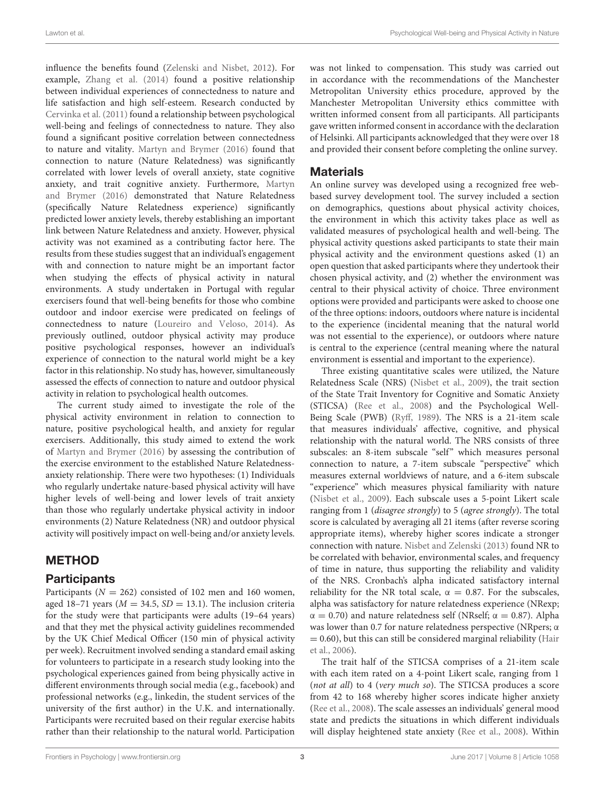influence the benefits found [\(Zelenski and Nisbet, 2012\)](#page-10-12). For example, [Zhang et al. \(2014\)](#page-10-13) found a positive relationship between individual experiences of connectedness to nature and life satisfaction and high self-esteem. Research conducted by [Cervinka et al. \(2011\)](#page-9-22) found a relationship between psychological well-being and feelings of connectedness to nature. They also found a significant positive correlation between connectedness to nature and vitality. [Martyn and Brymer \(2016\)](#page-9-11) found that connection to nature (Nature Relatedness) was significantly correlated with lower levels of overall anxiety, state cognitive anxiety, and trait cognitive anxiety. Furthermore, Martyn and Brymer [\(2016\)](#page-9-11) demonstrated that Nature Relatedness (specifically Nature Relatedness experience) significantly predicted lower anxiety levels, thereby establishing an important link between Nature Relatedness and anxiety. However, physical activity was not examined as a contributing factor here. The results from these studies suggest that an individual's engagement with and connection to nature might be an important factor when studying the effects of physical activity in natural environments. A study undertaken in Portugal with regular exercisers found that well-being benefits for those who combine outdoor and indoor exercise were predicated on feelings of connectedness to nature [\(Loureiro and Veloso, 2014\)](#page-9-19). As previously outlined, outdoor physical activity may produce positive psychological responses, however an individual's experience of connection to the natural world might be a key factor in this relationship. No study has, however, simultaneously assessed the effects of connection to nature and outdoor physical activity in relation to psychological health outcomes.

The current study aimed to investigate the role of the physical activity environment in relation to connection to nature, positive psychological health, and anxiety for regular exercisers. Additionally, this study aimed to extend the work of [Martyn and Brymer \(2016\)](#page-9-11) by assessing the contribution of the exercise environment to the established Nature Relatednessanxiety relationship. There were two hypotheses: (1) Individuals who regularly undertake nature-based physical activity will have higher levels of well-being and lower levels of trait anxiety than those who regularly undertake physical activity in indoor environments (2) Nature Relatedness (NR) and outdoor physical activity will positively impact on well-being and/or anxiety levels.

# METHOD

## **Participants**

Participants ( $N = 262$ ) consisted of 102 men and 160 women, aged 18–71 years ( $M = 34.5$ ,  $SD = 13.1$ ). The inclusion criteria for the study were that participants were adults (19–64 years) and that they met the physical activity guidelines recommended by the UK Chief Medical Officer (150 min of physical activity per week). Recruitment involved sending a standard email asking for volunteers to participate in a research study looking into the psychological experiences gained from being physically active in different environments through social media (e.g., facebook) and professional networks (e.g., linkedin, the student services of the university of the first author) in the U.K. and internationally. Participants were recruited based on their regular exercise habits rather than their relationship to the natural world. Participation was not linked to compensation. This study was carried out in accordance with the recommendations of the Manchester Metropolitan University ethics procedure, approved by the Manchester Metropolitan University ethics committee with written informed consent from all participants. All participants gave written informed consent in accordance with the declaration of Helsinki. All participants acknowledged that they were over 18 and provided their consent before completing the online survey.

# Materials

An online survey was developed using a recognized free webbased survey development tool. The survey included a section on demographics, questions about physical activity choices, the environment in which this activity takes place as well as validated measures of psychological health and well-being. The physical activity questions asked participants to state their main physical activity and the environment questions asked (1) an open question that asked participants where they undertook their chosen physical activity, and (2) whether the environment was central to their physical activity of choice. Three environment options were provided and participants were asked to choose one of the three options: indoors, outdoors where nature is incidental to the experience (incidental meaning that the natural world was not essential to the experience), or outdoors where nature is central to the experience (central meaning where the natural environment is essential and important to the experience).

Three existing quantitative scales were utilized, the Nature Relatedness Scale (NRS) [\(Nisbet et al., 2009\)](#page-9-23), the trait section of the State Trait Inventory for Cognitive and Somatic Anxiety (STICSA) [\(Ree et al., 2008\)](#page-10-14) and the Psychological Well-Being Scale (PWB) [\(Ryff, 1989\)](#page-10-15). The NRS is a 21-item scale that measures individuals' affective, cognitive, and physical relationship with the natural world. The NRS consists of three subscales: an 8-item subscale "self" which measures personal connection to nature, a 7-item subscale "perspective" which measures external worldviews of nature, and a 6-item subscale "experience" which measures physical familiarity with nature [\(Nisbet et al., 2009\)](#page-9-23). Each subscale uses a 5-point Likert scale ranging from 1 (disagree strongly) to 5 (agree strongly). The total score is calculated by averaging all 21 items (after reverse scoring appropriate items), whereby higher scores indicate a stronger connection with nature. [Nisbet and Zelenski \(2013\)](#page-9-24) found NR to be correlated with behavior, environmental scales, and frequency of time in nature, thus supporting the reliability and validity of the NRS. Cronbach's alpha indicated satisfactory internal reliability for the NR total scale,  $\alpha = 0.87$ . For the subscales, alpha was satisfactory for nature relatedness experience (NRexp;  $\alpha = 0.70$ ) and nature relatedness self (NRself;  $\alpha = 0.87$ ). Alpha was lower than 0.7 for nature relatedness perspective (NRpers; α  $= 0.60$ ), but this can still be considered marginal reliability (Hair et al., [2006\)](#page-9-25).

The trait half of the STICSA comprises of a 21-item scale with each item rated on a 4-point Likert scale, ranging from 1 (not at all) to 4 (very much so). The STICSA produces a score from 42 to 168 whereby higher scores indicate higher anxiety [\(Ree et al., 2008\)](#page-10-14). The scale assesses an individuals' general mood state and predicts the situations in which different individuals will display heightened state anxiety [\(Ree et al., 2008\)](#page-10-14). Within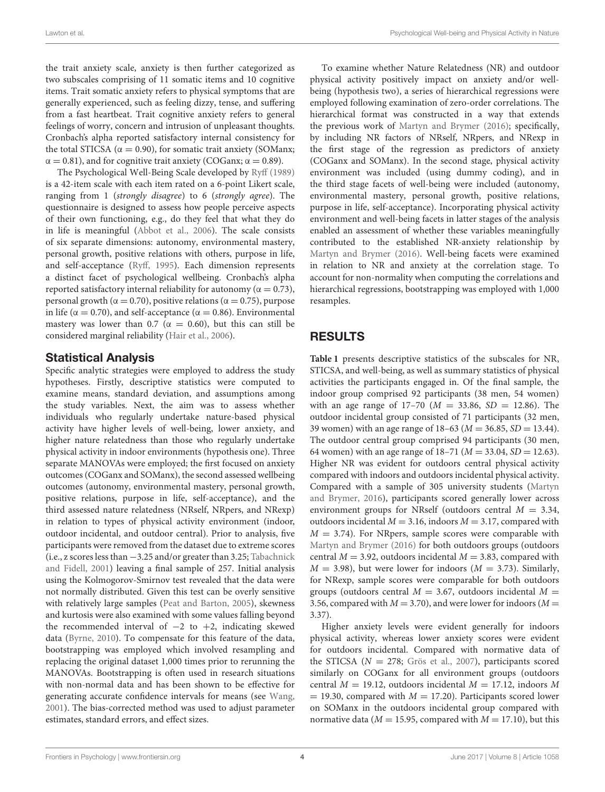Lawton et al. **Example 2018** 2019 12:30 2019 12:30 2019 12:30 2019 12:30 2019 12:30 Psychological Well-being and Physical Activity in Nature

the trait anxiety scale, anxiety is then further categorized as two subscales comprising of 11 somatic items and 10 cognitive items. Trait somatic anxiety refers to physical symptoms that are generally experienced, such as feeling dizzy, tense, and suffering from a fast heartbeat. Trait cognitive anxiety refers to general feelings of worry, concern and intrusion of unpleasant thoughts. Cronbach's alpha reported satisfactory internal consistency for the total STICSA ( $\alpha = 0.90$ ), for somatic trait anxiety (SOManx;  $\alpha = 0.81$ ), and for cognitive trait anxiety (COGanx;  $\alpha = 0.89$ ).

The Psychological Well-Being Scale developed by [Ryff \(1989\)](#page-10-15) is a 42-item scale with each item rated on a 6-point Likert scale, ranging from 1 (strongly disagree) to 6 (strongly agree). The questionnaire is designed to assess how people perceive aspects of their own functioning, e.g., do they feel that what they do in life is meaningful [\(Abbot et al., 2006\)](#page-9-26). The scale consists of six separate dimensions: autonomy, environmental mastery, personal growth, positive relations with others, purpose in life, and self-acceptance [\(Ryff, 1995\)](#page-10-16). Each dimension represents a distinct facet of psychological wellbeing. Cronbach's alpha reported satisfactory internal reliability for autonomy ( $\alpha = 0.73$ ), personal growth ( $α = 0.70$ ), positive relations ( $α = 0.75$ ), purpose in life ( $\alpha = 0.70$ ), and self-acceptance ( $\alpha = 0.86$ ). Environmental mastery was lower than 0.7 ( $\alpha = 0.60$ ), but this can still be considered marginal reliability [\(Hair et al., 2006\)](#page-9-25).

## Statistical Analysis

Specific analytic strategies were employed to address the study hypotheses. Firstly, descriptive statistics were computed to examine means, standard deviation, and assumptions among the study variables. Next, the aim was to assess whether individuals who regularly undertake nature-based physical activity have higher levels of well-being, lower anxiety, and higher nature relatedness than those who regularly undertake physical activity in indoor environments (hypothesis one). Three separate MANOVAs were employed; the first focused on anxiety outcomes (COGanx and SOManx), the second assessed wellbeing outcomes (autonomy, environmental mastery, personal growth, positive relations, purpose in life, self-acceptance), and the third assessed nature relatedness (NRself, NRpers, and NRexp) in relation to types of physical activity environment (indoor, outdoor incidental, and outdoor central). Prior to analysis, five participants were removed from the dataset due to extreme scores (i.e., z scores less than −3.25 and/or greater than 3.25; Tabachnick and Fidell, [2001\)](#page-10-17) leaving a final sample of 257. Initial analysis using the Kolmogorov-Smirnov test revealed that the data were not normally distributed. Given this test can be overly sensitive with relatively large samples [\(Peat and Barton, 2005\)](#page-10-18), skewness and kurtosis were also examined with some values falling beyond the recommended interval of −2 to +2, indicating skewed data [\(Byrne, 2010\)](#page-9-27). To compensate for this feature of the data, bootstrapping was employed which involved resampling and replacing the original dataset 1,000 times prior to rerunning the MANOVAs. Bootstrapping is often used in research situations with non-normal data and has been shown to be effective for generating accurate confidence intervals for means (see [Wang,](#page-10-19) [2001\)](#page-10-19). The bias-corrected method was used to adjust parameter estimates, standard errors, and effect sizes.

To examine whether Nature Relatedness (NR) and outdoor physical activity positively impact on anxiety and/or wellbeing (hypothesis two), a series of hierarchical regressions were employed following examination of zero-order correlations. The hierarchical format was constructed in a way that extends the previous work of [Martyn and Brymer \(2016\)](#page-9-11); specifically, by including NR factors of NRself, NRpers, and NRexp in the first stage of the regression as predictors of anxiety (COGanx and SOManx). In the second stage, physical activity environment was included (using dummy coding), and in the third stage facets of well-being were included (autonomy, environmental mastery, personal growth, positive relations, purpose in life, self-acceptance). Incorporating physical activity environment and well-being facets in latter stages of the analysis enabled an assessment of whether these variables meaningfully contributed to the established NR-anxiety relationship by [Martyn and Brymer \(2016\)](#page-9-11). Well-being facets were examined in relation to NR and anxiety at the correlation stage. To account for non-normality when computing the correlations and hierarchical regressions, bootstrapping was employed with 1,000 resamples.

# RESULTS

**[Table 1](#page-4-0)** presents descriptive statistics of the subscales for NR, STICSA, and well-being, as well as summary statistics of physical activities the participants engaged in. Of the final sample, the indoor group comprised 92 participants (38 men, 54 women) with an age range of  $17-70$  ( $M = 33.86$ ,  $SD = 12.86$ ). The outdoor incidental group consisted of 71 participants (32 men, 39 women) with an age range of  $18-63$  ( $M = 36.85$ ,  $SD = 13.44$ ). The outdoor central group comprised 94 participants (30 men, 64 women) with an age range of  $18-71$  ( $M = 33.04$ ,  $SD = 12.63$ ). Higher NR was evident for outdoors central physical activity compared with indoors and outdoors incidental physical activity. Compared with a sample of 305 university students (Martyn and Brymer, [2016\)](#page-9-11), participants scored generally lower across environment groups for NRself (outdoors central  $M = 3.34$ , outdoors incidental  $M = 3.16$ , indoors  $M = 3.17$ , compared with  $M = 3.74$ ). For NRpers, sample scores were comparable with [Martyn and Brymer \(2016\)](#page-9-11) for both outdoors groups (outdoors central  $M = 3.92$ , outdoors incidental  $M = 3.83$ , compared with  $M = 3.98$ ), but were lower for indoors ( $M = 3.73$ ). Similarly, for NRexp, sample scores were comparable for both outdoors groups (outdoors central  $M = 3.67$ , outdoors incidental  $M =$ 3.56, compared with  $M = 3.70$ ), and were lower for indoors ( $M =$ 3.37).

Higher anxiety levels were evident generally for indoors physical activity, whereas lower anxiety scores were evident for outdoors incidental. Compared with normative data of the STICSA ( $N = 278$ ; [Grös et al., 2007\)](#page-9-28), participants scored similarly on COGanx for all environment groups (outdoors central  $M = 19.12$ , outdoors incidental  $M = 17.12$ , indoors M  $= 19.30$ , compared with  $M = 17.20$ ). Participants scored lower on SOManx in the outdoors incidental group compared with normative data ( $M = 15.95$ , compared with  $M = 17.10$ ), but this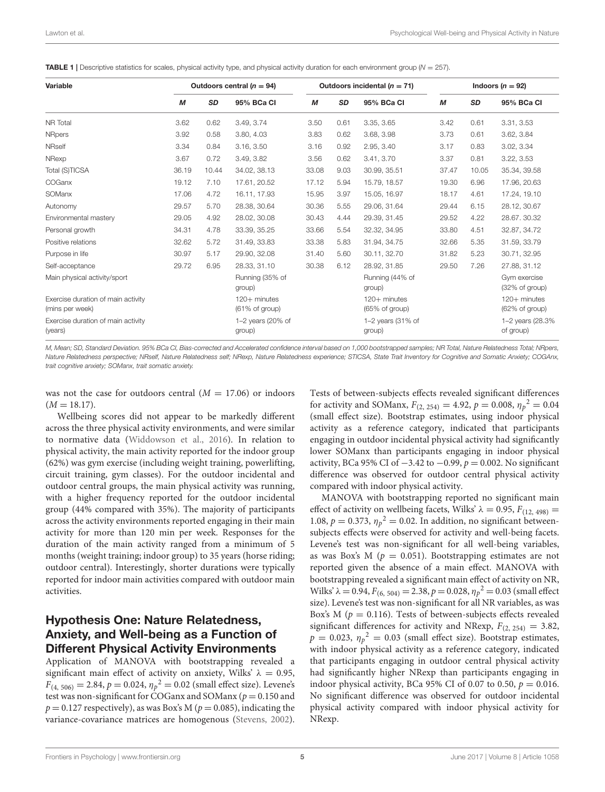<span id="page-4-0"></span>

| Variable                                              |       |           | Outdoors central ( $n = 94$ )  |       |           | Outdoors incidental ( $n = 71$ ) |       |           | Indoors $(n = 92)$               |
|-------------------------------------------------------|-------|-----------|--------------------------------|-------|-----------|----------------------------------|-------|-----------|----------------------------------|
|                                                       | М     | <b>SD</b> | 95% BCa Cl                     | M     | <b>SD</b> | 95% BCa CI                       | M     | <b>SD</b> | 95% BCa CI                       |
| NR Total                                              | 3.62  | 0.62      | 3.49, 3.74                     | 3.50  | 0.61      | 3.35, 3.65                       | 3.42  | 0.61      | 3.31, 3.53                       |
| <b>NRpers</b>                                         | 3.92  | 0.58      | 3.80, 4.03                     | 3.83  | 0.62      | 3.68, 3.98                       | 3.73  | 0.61      | 3.62, 3.84                       |
| <b>NRself</b>                                         | 3.34  | 0.84      | 3.16, 3.50                     | 3.16  | 0.92      | 2.95, 3.40                       | 3.17  | 0.83      | 3.02, 3.34                       |
| NRexp                                                 | 3.67  | 0.72      | 3.49, 3.82                     | 3.56  | 0.62      | 3.41, 3.70                       | 3.37  | 0.81      | 3.22, 3.53                       |
| Total (S)TICSA                                        | 36.19 | 10.44     | 34.02, 38.13                   | 33.08 | 9.03      | 30.99, 35.51                     | 37.47 | 10.05     | 35.34, 39.58                     |
| COGanx                                                | 19.12 | 7.10      | 17.61, 20.52                   | 17.12 | 5.94      | 15.79, 18.57                     | 19.30 | 6.96      | 17.96, 20.63                     |
| SOManx                                                | 17.06 | 4.72      | 16.11, 17.93                   | 15.95 | 3.97      | 15.05, 16.97                     | 18.17 | 4.61      | 17.24, 19.10                     |
| Autonomy                                              | 29.57 | 5.70      | 28.38, 30.64                   | 30.36 | 5.55      | 29.06, 31.64                     | 29.44 | 6.15      | 28.12, 30.67                     |
| Environmental mastery                                 | 29.05 | 4.92      | 28.02, 30.08                   | 30.43 | 4.44      | 29.39, 31.45                     | 29.52 | 4.22      | 28.67.30.32                      |
| Personal growth                                       | 34.31 | 4.78      | 33.39, 35.25                   | 33.66 | 5.54      | 32.32, 34.95                     | 33.80 | 4.51      | 32.87, 34.72                     |
| Positive relations                                    | 32.62 | 5.72      | 31.49, 33.83                   | 33.38 | 5.83      | 31.94, 34.75                     | 32.66 | 5.35      | 31.59, 33.79                     |
| Purpose in life                                       | 30.97 | 5.17      | 29.90, 32.08                   | 31.40 | 5.60      | 30.11, 32.70                     | 31.82 | 5.23      | 30.71, 32.95                     |
| Self-acceptance                                       | 29.72 | 6.95      | 28.33, 31.10                   | 30.38 | 6.12      | 28.92.31.85                      | 29.50 | 7.26      | 27.88, 31.12                     |
| Main physical activity/sport                          |       |           | Running (35% of<br>group)      |       |           | Running (44% of<br>group)        |       |           | Gym exercise<br>(32% of group)   |
| Exercise duration of main activity<br>(mins per week) |       |           | 120+ minutes<br>(61% of group) |       |           | $120+$ minutes<br>(65% of group) |       |           | $120+$ minutes<br>(62% of group) |
| Exercise duration of main activity<br>(years)         |       |           | 1-2 years (20% of<br>group)    |       |           | 1-2 years (31% of<br>group)      |       |           | 1-2 years (28.3%)<br>of group)   |

*M, Mean; SD, Standard Deviation. 95% BCa CI, Bias-corrected and Accelerated confidence interval based on 1,000 bootstrapped samples; NR Total, Nature Relatedness Total; NRpers, Nature Relatedness perspective; NRself, Nature Relatedness self; NRexp, Nature Relatedness experience; STICSA, State Trait Inventory for Cognitive and Somatic Anxiety; COGAnx, trait cognitive anxiety; SOManx, trait somatic anxiety.*

was not the case for outdoors central  $(M = 17.06)$  or indoors  $(M = 18.17).$ 

Wellbeing scores did not appear to be markedly different across the three physical activity environments, and were similar to normative data [\(Widdowson et al., 2016\)](#page-10-20). In relation to physical activity, the main activity reported for the indoor group (62%) was gym exercise (including weight training, powerlifting, circuit training, gym classes). For the outdoor incidental and outdoor central groups, the main physical activity was running, with a higher frequency reported for the outdoor incidental group (44% compared with 35%). The majority of participants across the activity environments reported engaging in their main activity for more than 120 min per week. Responses for the duration of the main activity ranged from a minimum of 5 months (weight training; indoor group) to 35 years (horse riding; outdoor central). Interestingly, shorter durations were typically reported for indoor main activities compared with outdoor main activities.

## Hypothesis One: Nature Relatedness, Anxiety, and Well-being as a Function of Different Physical Activity Environments

Application of MANOVA with bootstrapping revealed a significant main effect of activity on anxiety, Wilks'  $\lambda = 0.95$ ,  $F_{(4, 506)} = 2.84, p = 0.024, \eta_p^2 = 0.02$  (small effect size). Levene's test was non-significant for COGanx and SOManx ( $p = 0.150$  and  $p = 0.127$  respectively), as was Box's M ( $p = 0.085$ ), indicating the variance-covariance matrices are homogenous [\(Stevens, 2002\)](#page-10-21).

Tests of between-subjects effects revealed significant differences for activity and SOManx,  $F_{(2, 254)} = 4.92$ ,  $p = 0.008$ ,  $\eta_p^2 = 0.04$ (small effect size). Bootstrap estimates, using indoor physical activity as a reference category, indicated that participants engaging in outdoor incidental physical activity had significantly lower SOManx than participants engaging in indoor physical activity, BCa 95% CI of  $-3.42$  to  $-0.99$ ,  $p = 0.002$ . No significant difference was observed for outdoor central physical activity compared with indoor physical activity.

MANOVA with bootstrapping reported no significant main effect of activity on wellbeing facets, Wilks'  $\lambda = 0.95$ ,  $F_{(12, 498)} =$ 1.08,  $p = 0.373$ ,  $\eta_p^2 = 0.02$ . In addition, no significant betweensubjects effects were observed for activity and well-being facets. Levene's test was non-significant for all well-being variables, as was Box's M ( $p = 0.051$ ). Bootstrapping estimates are not reported given the absence of a main effect. MANOVA with bootstrapping revealed a significant main effect of activity on NR, Wilks' λ = 0.94,  $F_{(6, 504)} = 2.38$ ,  $p = 0.028$ ,  $η<sub>p</sub><sup>2</sup> = 0.03$  (small effect size). Levene's test was non-significant for all NR variables, as was Box's M ( $p = 0.116$ ). Tests of between-subjects effects revealed significant differences for activity and NRexp,  $F_{(2, 254)} = 3.82$ ,  $p = 0.023$ ,  $\eta_p^2 = 0.03$  (small effect size). Bootstrap estimates, with indoor physical activity as a reference category, indicated that participants engaging in outdoor central physical activity had significantly higher NRexp than participants engaging in indoor physical activity, BCa 95% CI of 0.07 to 0.50,  $p = 0.016$ . No significant difference was observed for outdoor incidental physical activity compared with indoor physical activity for NRexp.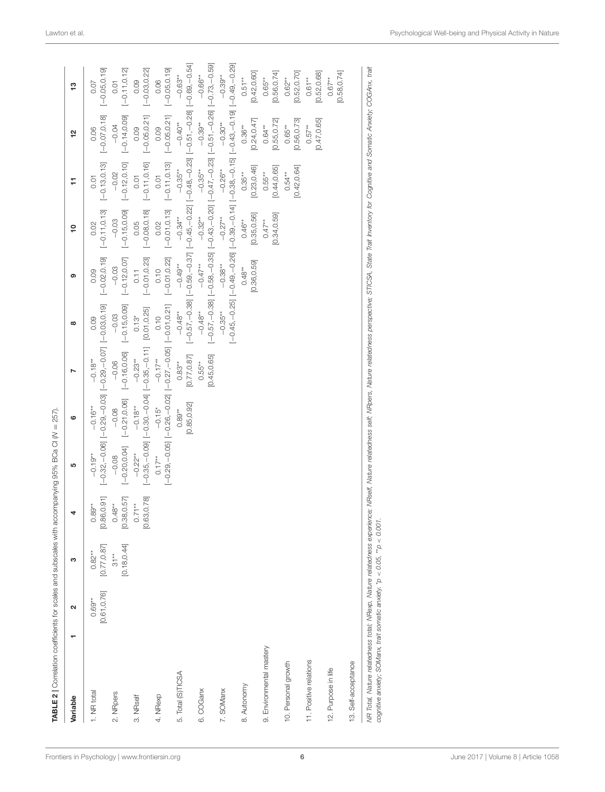| Variable                                                                                                                                                                                                                                                                                 | $\mathbf{\Omega}$        | က                        | 4                        | 5                                                                              | ဖ                        |                          | $\infty$                   | ග                                       | <u>۽</u>                                                                                                          | H                          | 21                         | 13                       |
|------------------------------------------------------------------------------------------------------------------------------------------------------------------------------------------------------------------------------------------------------------------------------------------|--------------------------|--------------------------|--------------------------|--------------------------------------------------------------------------------|--------------------------|--------------------------|----------------------------|-----------------------------------------|-------------------------------------------------------------------------------------------------------------------|----------------------------|----------------------------|--------------------------|
| 1. NR total                                                                                                                                                                                                                                                                              | [0.61, 0.76]<br>$0.69**$ | [0.77, 0.87]<br>$0.82**$ | $0.89**$<br>[0.86,0.91]  | $-0.19**$                                                                      | $-0.16**$                | $-0.18**$                | 0.09                       | $[-0.02, 0.19]$<br>0.09                 | $[-0.11, 0.13]$<br>0.02                                                                                           | $[-0.13, 0.13]$<br>0.01    | $[-0.07, 0.18]$<br>0.06    | $[-0.05, 0.19]$<br>0.07  |
| 2. NRpers                                                                                                                                                                                                                                                                                |                          | [0.18, 0.44]<br>$31**$   | [0.38, 0.57]<br>$0.48**$ | $[-0.20, 0.16, 0.01]$ $[-0.70, 0.05]$<br>$-0.08$                               | $-0.08$                  | $-0.06$                  | $[-0.15, 0.09]$<br>$-0.03$ | $[-0.12, 0.07]$<br>$-0.03$              | $[-0.15, 0.09]$<br>$-0.03$                                                                                        | $[-0.12, 0.10]$<br>$-0.02$ | $[-0.14, 0.09]$<br>$-0.04$ | $[-0.11, 0.12]$<br>0.01  |
| 3. NRself                                                                                                                                                                                                                                                                                |                          |                          | [0.63, 0.78]<br>$0.71**$ | [GZ:O'LO'O] [LL'O-'SS'O-][HO'O-'OS'O-][6O'O-'SS'O-]<br>$-0.22**$               | $-0.18**$                | $-0.23**$                | $0.13*$                    | $[-0.01, 0.23]$<br>0.11                 | $[-0.08, 0.18]$<br>0.05                                                                                           | $[-0.11, 0.16]$<br>0.01    | $[-0.05, 0.21]$<br>0.09    | $[-0.03, 0.22]$<br>0.09  |
| 4. NRexp                                                                                                                                                                                                                                                                                 |                          |                          |                          | $[-0.29, -0.05]$ $[-0.26, -0.02]$ $[-0.27, -0.05]$ $[-0.01, 0.21]$<br>$0.17**$ | $-0.15*$                 | $-0.17**$                | 0.10                       | $[-0.01, 0.22]$ $[-0.01, 0.01]$<br>0.10 | 0.02                                                                                                              | $[-0.11, 0.13]$<br>0.01    | $[-0.05, 0.21]$<br>0.09    | $[-0.05, 0.19]$<br>0.06  |
| 5. Total (S)TICSA                                                                                                                                                                                                                                                                        |                          |                          |                          |                                                                                | [0.85, 0.92]<br>$0.89**$ | [0.77, 0.87]<br>$0.83**$ | $-0.48**$                  | $-0.49**$                               | [-0.57, -0.38] [-0.59, -0.37] [-0.45, -0.22] [-0.370] [-0.37] [-0.51, -0.89, -0.58, -0.59]<br>$-0.34**$           | $-0.35***$                 | $-0.40**$                  | $-0.63**$                |
| 6. COGanx                                                                                                                                                                                                                                                                                |                          |                          |                          |                                                                                |                          | [0.45, 0.65]<br>$0.55**$ | $-0.48**$                  | $-0.47**$                               | $-0.32**$                                                                                                         | $-0.35**$                  | $-0.39**$                  | $-0.66**$                |
| 7. SOManx                                                                                                                                                                                                                                                                                |                          |                          |                          |                                                                                |                          |                          | $-0.35***$                 | $-0.38**$                               | [6210 - 1910 - 1910 - 1910 - 1910 - 1910 - 1910 - 1920 - 1920 - 1920 - 1920 - 1920 - 1920 - 1920 - 1<br>$-0.27**$ | $-0.26**$                  | $-0.30**$                  | $-0.39**$                |
| 8. Autonomy                                                                                                                                                                                                                                                                              |                          |                          |                          |                                                                                |                          |                          |                            | [0.36, 0.59]<br>$0.48**$                | [0.35, 0.56]<br>$0.46**$                                                                                          | [0.23, 0.46]<br>$0.35**$   | [0.24, 0.47]<br>$0.36**$   | [0.42, 0.60]<br>$0.51**$ |
| 9. Environmental mastery                                                                                                                                                                                                                                                                 |                          |                          |                          |                                                                                |                          |                          |                            |                                         | [0.34, 0.59]<br>$0.47**$                                                                                          | [0.44, 0.65]<br>$0.55**$   | [0.55, 0.72]<br>$0.64***$  | [0.56, 0.74]<br>$0.65**$ |
| 10. Personal growth                                                                                                                                                                                                                                                                      |                          |                          |                          |                                                                                |                          |                          |                            |                                         |                                                                                                                   | [0.42, 0.64]<br>$0.54**$   | [0.56, 0.73]<br>$0.65**$   | [0.52, 0.70]<br>$0.62**$ |
| 11. Positive relations                                                                                                                                                                                                                                                                   |                          |                          |                          |                                                                                |                          |                          |                            |                                         |                                                                                                                   |                            | [0.47, 0.65]<br>$0.57**$   | [0.52, 0.68]<br>$0.61**$ |
| 12. Purpose in life                                                                                                                                                                                                                                                                      |                          |                          |                          |                                                                                |                          |                          |                            |                                         |                                                                                                                   |                            |                            | [0.58, 0.74]<br>$0.67**$ |
| 13. Self-acceptance                                                                                                                                                                                                                                                                      |                          |                          |                          |                                                                                |                          |                          |                            |                                         |                                                                                                                   |                            |                            |                          |
| MR Total, Nature relatedness total; MRexp, Nature relatedness experience; NRself, Nature relatedness paraloness perspective; STICSA, State Trait Inventory for Cognitive and Somatic Anxiety; COGAnx, trait<br>cognitive anxiety; SOManx, trait somatic anxiety. *p < 0.05, **p < 0.001. |                          |                          |                          |                                                                                |                          |                          |                            |                                         |                                                                                                                   |                            |                            |                          |

TABLE 2 | Correlation coefficients for scales and subscales with accompanying 95% BCa CI (*N* = 257).

<span id="page-5-0"></span>*cognitive anxiety; SOManx, trait somatic anxiety.* \**p* < *0.05,* \*\**p* < *0.001.*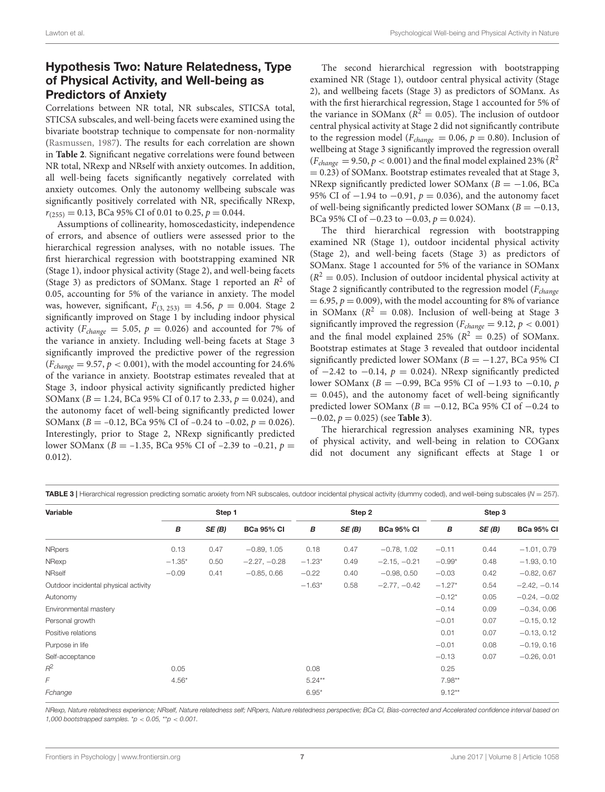# Hypothesis Two: Nature Relatedness, Type of Physical Activity, and Well-being as Predictors of Anxiety

Correlations between NR total, NR subscales, STICSA total, STICSA subscales, and well-being facets were examined using the bivariate bootstrap technique to compensate for non-normality [\(Rasmussen, 1987\)](#page-10-22). The results for each correlation are shown in **[Table 2](#page-5-0)**. Significant negative correlations were found between NR total, NRexp and NRself with anxiety outcomes. In addition, all well-being facets significantly negatively correlated with anxiety outcomes. Only the autonomy wellbeing subscale was significantly positively correlated with NR, specifically NRexp,  $r_{(255)} = 0.13$ , BCa 95% CI of 0.01 to 0.25,  $p = 0.044$ .

Assumptions of collinearity, homoscedasticity, independence of errors, and absence of outliers were assessed prior to the hierarchical regression analyses, with no notable issues. The first hierarchical regression with bootstrapping examined NR (Stage 1), indoor physical activity (Stage 2), and well-being facets (Stage 3) as predictors of SOManx. Stage 1 reported an  $R^2$  of 0.05, accounting for 5% of the variance in anxiety. The model was, however, significant,  $F_{(3, 253)} = 4.56$ ,  $p = 0.004$ . Stage 2 significantly improved on Stage 1 by including indoor physical activity ( $F_{change} = 5.05$ ,  $p = 0.026$ ) and accounted for 7% of the variance in anxiety. Including well-being facets at Stage 3 significantly improved the predictive power of the regression  $(F_{change} = 9.57, p < 0.001)$ , with the model accounting for 24.6% of the variance in anxiety. Bootstrap estimates revealed that at Stage 3, indoor physical activity significantly predicted higher SOManx ( $B = 1.24$ , BCa 95% CI of 0.17 to 2.33,  $p = 0.024$ ), and the autonomy facet of well-being significantly predicted lower SOManx ( $B = -0.12$ , BCa 95% CI of  $-0.24$  to  $-0.02$ ,  $p = 0.026$ ). Interestingly, prior to Stage 2, NRexp significantly predicted lower SOManx ( $B = -1.35$ , BCa 95% CI of -2.39 to -0.21,  $p =$ 0.012).

The second hierarchical regression with bootstrapping examined NR (Stage 1), outdoor central physical activity (Stage 2), and wellbeing facets (Stage 3) as predictors of SOManx. As with the first hierarchical regression, Stage 1 accounted for 5% of the variance in SOManx ( $R^2 = 0.05$ ). The inclusion of outdoor central physical activity at Stage 2 did not significantly contribute to the regression model ( $F_{change} = 0.06$ ,  $p = 0.80$ ). Inclusion of wellbeing at Stage 3 significantly improved the regression overall  $(F_{change} = 9.50, p < 0.001)$  and the final model explained 23% ( $R^2$  $= 0.23$ ) of SOManx. Bootstrap estimates revealed that at Stage 3, NRexp significantly predicted lower SOManx ( $B = -1.06$ , BCa 95% CI of  $-1.94$  to  $-0.91$ ,  $p = 0.036$ ), and the autonomy facet of well-being significantly predicted lower SOManx ( $B = -0.13$ , BCa 95% CI of  $-0.23$  to  $-0.03$ ,  $p = 0.024$ ).

The third hierarchical regression with bootstrapping examined NR (Stage 1), outdoor incidental physical activity (Stage 2), and well-being facets (Stage 3) as predictors of SOManx. Stage 1 accounted for 5% of the variance in SOManx  $(R<sup>2</sup> = 0.05)$ . Inclusion of outdoor incidental physical activity at Stage 2 significantly contributed to the regression model ( $F_{change}$  $= 6.95, p = 0.009$ , with the model accounting for 8% of variance in SOManx ( $R^2 = 0.08$ ). Inclusion of well-being at Stage 3 significantly improved the regression ( $F_{change} = 9.12$ ,  $p < 0.001$ ) and the final model explained 25% ( $R^2 = 0.25$ ) of SOManx. Bootstrap estimates at Stage 3 revealed that outdoor incidental significantly predicted lower SOManx ( $B = -1.27$ , BCa 95% CI of  $-2.42$  to  $-0.14$ ,  $p = 0.024$ ). NRexp significantly predicted lower SOManx ( $B = -0.99$ , BCa 95% CI of −1.93 to −0.10, p  $= 0.045$ ), and the autonomy facet of well-being significantly predicted lower SOManx ( $B = -0.12$ , BCa 95% CI of  $-0.24$  to −0.02, p = 0.025) (see **[Table 3](#page-6-0)**).

The hierarchical regression analyses examining NR, types of physical activity, and well-being in relation to COGanx did not document any significant effects at Stage 1 or

<span id="page-6-0"></span>TABLE 3 | Hierarchical regression predicting somatic anxiety from NR subscales, outdoor incidental physical activity (dummy coded), and well-being subscales (*N* = 257).

| Variable                             |                  | Step 1 |                   | Step 2    |       |                   | Step 3   |       |                   |
|--------------------------------------|------------------|--------|-------------------|-----------|-------|-------------------|----------|-------|-------------------|
|                                      | $\boldsymbol{B}$ | SE(B)  | <b>BCa 95% CI</b> | В         | SE(B) | <b>BCa 95% CI</b> | B        | SE(B) | <b>BCa 95% CI</b> |
| <b>NRpers</b>                        | 0.13             | 0.47   | $-0.89, 1.05$     | 0.18      | 0.47  | $-0.78, 1.02$     | $-0.11$  | 0.44  | $-1.01, 0.79$     |
| NRexp                                | $-1.35*$         | 0.50   | $-2.27, -0.28$    | $-1.23*$  | 0.49  | $-2.15, -0.21$    | $-0.99*$ | 0.48  | $-1.93, 0.10$     |
| <b>NRself</b>                        | $-0.09$          | 0.41   | $-0.85, 0.66$     | $-0.22$   | 0.40  | $-0.98, 0.50$     | $-0.03$  | 0.42  | $-0.82, 0.67$     |
| Outdoor incidental physical activity |                  |        |                   | $-1.63*$  | 0.58  | $-2.77, -0.42$    | $-1.27*$ | 0.54  | $-2.42, -0.14$    |
| Autonomy                             |                  |        |                   |           |       |                   | $-0.12*$ | 0.05  | $-0.24, -0.02$    |
| Environmental mastery                |                  |        |                   |           |       |                   | $-0.14$  | 0.09  | $-0.34, 0.06$     |
| Personal growth                      |                  |        |                   |           |       |                   | $-0.01$  | 0.07  | $-0.15, 0.12$     |
| Positive relations                   |                  |        |                   |           |       |                   | 0.01     | 0.07  | $-0.13, 0.12$     |
| Purpose in life                      |                  |        |                   |           |       |                   | $-0.01$  | 0.08  | $-0.19, 0.16$     |
| Self-acceptance                      |                  |        |                   |           |       |                   | $-0.13$  | 0.07  | $-0.26, 0.01$     |
| $R^2$                                | 0.05             |        |                   | 0.08      |       |                   | 0.25     |       |                   |
| F                                    | $4.56*$          |        |                   | $5.24***$ |       |                   | $7.98**$ |       |                   |
| Fchange                              |                  |        |                   | $6.95*$   |       |                   | $9.12**$ |       |                   |

*NRexp, Nature relatedness experience; NRself, Nature relatedness self; NRpers, Nature relatedness perspective; BCa CI, Bias-corrected and Accelerated confidence interval based on 1,000 bootstrapped samples.* \**p* < *0.05,* \*\**p* < *0.001.*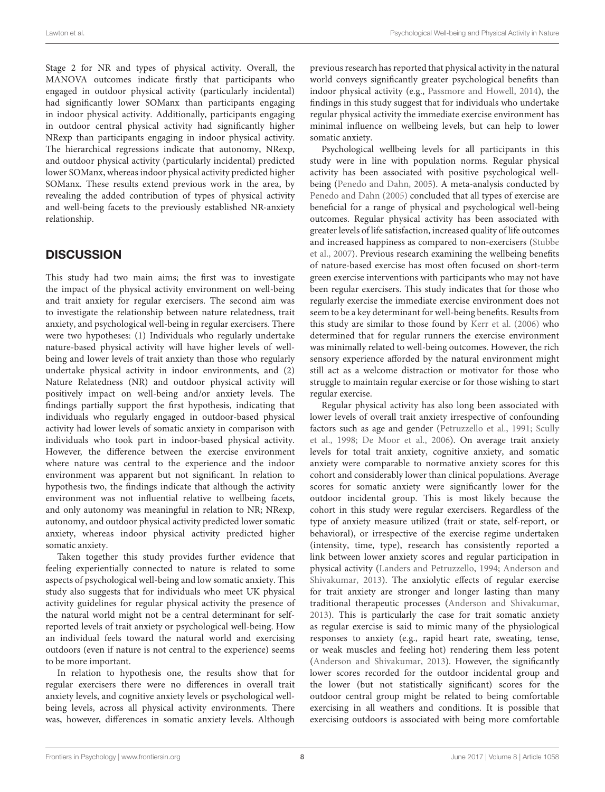Stage 2 for NR and types of physical activity. Overall, the MANOVA outcomes indicate firstly that participants who engaged in outdoor physical activity (particularly incidental) had significantly lower SOManx than participants engaging in indoor physical activity. Additionally, participants engaging in outdoor central physical activity had significantly higher NRexp than participants engaging in indoor physical activity. The hierarchical regressions indicate that autonomy, NRexp, and outdoor physical activity (particularly incidental) predicted lower SOManx, whereas indoor physical activity predicted higher SOManx. These results extend previous work in the area, by revealing the added contribution of types of physical activity and well-being facets to the previously established NR-anxiety relationship.

# **DISCUSSION**

This study had two main aims; the first was to investigate the impact of the physical activity environment on well-being and trait anxiety for regular exercisers. The second aim was to investigate the relationship between nature relatedness, trait anxiety, and psychological well-being in regular exercisers. There were two hypotheses: (1) Individuals who regularly undertake nature-based physical activity will have higher levels of wellbeing and lower levels of trait anxiety than those who regularly undertake physical activity in indoor environments, and (2) Nature Relatedness (NR) and outdoor physical activity will positively impact on well-being and/or anxiety levels. The findings partially support the first hypothesis, indicating that individuals who regularly engaged in outdoor-based physical activity had lower levels of somatic anxiety in comparison with individuals who took part in indoor-based physical activity. However, the difference between the exercise environment where nature was central to the experience and the indoor environment was apparent but not significant. In relation to hypothesis two, the findings indicate that although the activity environment was not influential relative to wellbeing facets, and only autonomy was meaningful in relation to NR; NRexp, autonomy, and outdoor physical activity predicted lower somatic anxiety, whereas indoor physical activity predicted higher somatic anxiety.

Taken together this study provides further evidence that feeling experientially connected to nature is related to some aspects of psychological well-being and low somatic anxiety. This study also suggests that for individuals who meet UK physical activity guidelines for regular physical activity the presence of the natural world might not be a central determinant for selfreported levels of trait anxiety or psychological well-being. How an individual feels toward the natural world and exercising outdoors (even if nature is not central to the experience) seems to be more important.

In relation to hypothesis one, the results show that for regular exercisers there were no differences in overall trait anxiety levels, and cognitive anxiety levels or psychological wellbeing levels, across all physical activity environments. There was, however, differences in somatic anxiety levels. Although previous research has reported that physical activity in the natural world conveys significantly greater psychological benefits than indoor physical activity (e.g., [Passmore and Howell, 2014\)](#page-10-6), the findings in this study suggest that for individuals who undertake regular physical activity the immediate exercise environment has minimal influence on wellbeing levels, but can help to lower somatic anxiety.

Psychological wellbeing levels for all participants in this study were in line with population norms. Regular physical activity has been associated with positive psychological wellbeing [\(Penedo and Dahn, 2005\)](#page-10-23). A meta-analysis conducted by [Penedo and Dahn \(2005\)](#page-10-23) concluded that all types of exercise are beneficial for a range of physical and psychological well-being outcomes. Regular physical activity has been associated with greater levels of life satisfaction, increased quality of life outcomes and increased happiness as compared to non-exercisers (Stubbe et al., [2007\)](#page-10-24). Previous research examining the wellbeing benefits of nature-based exercise has most often focused on short-term green exercise interventions with participants who may not have been regular exercisers. This study indicates that for those who regularly exercise the immediate exercise environment does not seem to be a key determinant for well-being benefits. Results from this study are similar to those found by [Kerr et al. \(2006\)](#page-9-20) who determined that for regular runners the exercise environment was minimally related to well-being outcomes. However, the rich sensory experience afforded by the natural environment might still act as a welcome distraction or motivator for those who struggle to maintain regular exercise or for those wishing to start regular exercise.

Regular physical activity has also long been associated with lower levels of overall trait anxiety irrespective of confounding factors such as age and gender [\(Petruzzello et al., 1991;](#page-10-25) Scully et al., [1998;](#page-10-26) [De Moor et al., 2006\)](#page-9-29). On average trait anxiety levels for total trait anxiety, cognitive anxiety, and somatic anxiety were comparable to normative anxiety scores for this cohort and considerably lower than clinical populations. Average scores for somatic anxiety were significantly lower for the outdoor incidental group. This is most likely because the cohort in this study were regular exercisers. Regardless of the type of anxiety measure utilized (trait or state, self-report, or behavioral), or irrespective of the exercise regime undertaken (intensity, time, type), research has consistently reported a link between lower anxiety scores and regular participation in physical activity [\(Landers and Petruzzello, 1994;](#page-9-30) Anderson and Shivakumar, [2013\)](#page-9-31). The anxiolytic effects of regular exercise for trait anxiety are stronger and longer lasting than many traditional therapeutic processes [\(Anderson and Shivakumar,](#page-9-31) [2013\)](#page-9-31). This is particularly the case for trait somatic anxiety as regular exercise is said to mimic many of the physiological responses to anxiety (e.g., rapid heart rate, sweating, tense, or weak muscles and feeling hot) rendering them less potent [\(Anderson and Shivakumar, 2013\)](#page-9-31). However, the significantly lower scores recorded for the outdoor incidental group and the lower (but not statistically significant) scores for the outdoor central group might be related to being comfortable exercising in all weathers and conditions. It is possible that exercising outdoors is associated with being more comfortable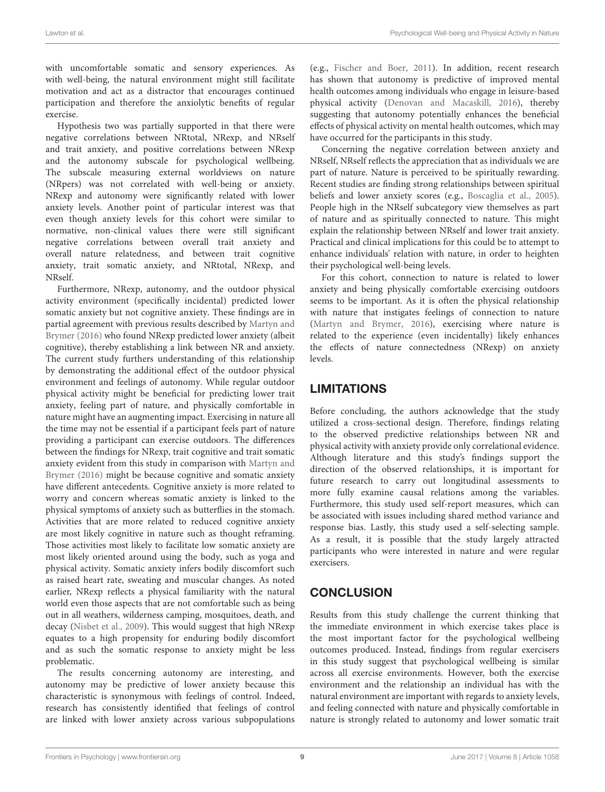with uncomfortable somatic and sensory experiences. As with well-being, the natural environment might still facilitate motivation and act as a distractor that encourages continued participation and therefore the anxiolytic benefits of regular exercise.

Hypothesis two was partially supported in that there were negative correlations between NRtotal, NRexp, and NRself and trait anxiety, and positive correlations between NRexp and the autonomy subscale for psychological wellbeing. The subscale measuring external worldviews on nature (NRpers) was not correlated with well-being or anxiety. NRexp and autonomy were significantly related with lower anxiety levels. Another point of particular interest was that even though anxiety levels for this cohort were similar to normative, non-clinical values there were still significant negative correlations between overall trait anxiety and overall nature relatedness, and between trait cognitive anxiety, trait somatic anxiety, and NRtotal, NRexp, and NRself.

Furthermore, NRexp, autonomy, and the outdoor physical activity environment (specifically incidental) predicted lower somatic anxiety but not cognitive anxiety. These findings are in partial agreement with previous results described by Martyn and Brymer [\(2016\)](#page-9-11) who found NRexp predicted lower anxiety (albeit cognitive), thereby establishing a link between NR and anxiety. The current study furthers understanding of this relationship by demonstrating the additional effect of the outdoor physical environment and feelings of autonomy. While regular outdoor physical activity might be beneficial for predicting lower trait anxiety, feeling part of nature, and physically comfortable in nature might have an augmenting impact. Exercising in nature all the time may not be essential if a participant feels part of nature providing a participant can exercise outdoors. The differences between the findings for NRexp, trait cognitive and trait somatic anxiety evident from this study in comparison with Martyn and Brymer [\(2016\)](#page-9-11) might be because cognitive and somatic anxiety have different antecedents. Cognitive anxiety is more related to worry and concern whereas somatic anxiety is linked to the physical symptoms of anxiety such as butterflies in the stomach. Activities that are more related to reduced cognitive anxiety are most likely cognitive in nature such as thought reframing. Those activities most likely to facilitate low somatic anxiety are most likely oriented around using the body, such as yoga and physical activity. Somatic anxiety infers bodily discomfort such as raised heart rate, sweating and muscular changes. As noted earlier, NRexp reflects a physical familiarity with the natural world even those aspects that are not comfortable such as being out in all weathers, wilderness camping, mosquitoes, death, and decay [\(Nisbet et al., 2009\)](#page-9-23). This would suggest that high NRexp equates to a high propensity for enduring bodily discomfort and as such the somatic response to anxiety might be less problematic.

The results concerning autonomy are interesting, and autonomy may be predictive of lower anxiety because this characteristic is synonymous with feelings of control. Indeed, research has consistently identified that feelings of control are linked with lower anxiety across various subpopulations (e.g., [Fischer and Boer, 2011\)](#page-9-32). In addition, recent research has shown that autonomy is predictive of improved mental health outcomes among individuals who engage in leisure-based physical activity [\(Denovan and Macaskill, 2016\)](#page-9-33), thereby suggesting that autonomy potentially enhances the beneficial effects of physical activity on mental health outcomes, which may have occurred for the participants in this study.

Concerning the negative correlation between anxiety and NRself, NRself reflects the appreciation that as individuals we are part of nature. Nature is perceived to be spiritually rewarding. Recent studies are finding strong relationships between spiritual beliefs and lower anxiety scores (e.g., [Boscaglia et al., 2005\)](#page-9-34). People high in the NRself subcategory view themselves as part of nature and as spiritually connected to nature. This might explain the relationship between NRself and lower trait anxiety. Practical and clinical implications for this could be to attempt to enhance individuals' relation with nature, in order to heighten their psychological well-being levels.

For this cohort, connection to nature is related to lower anxiety and being physically comfortable exercising outdoors seems to be important. As it is often the physical relationship with nature that instigates feelings of connection to nature [\(Martyn and Brymer, 2016\)](#page-9-11), exercising where nature is related to the experience (even incidentally) likely enhances the effects of nature connectedness (NRexp) on anxiety levels.

# **LIMITATIONS**

Before concluding, the authors acknowledge that the study utilized a cross-sectional design. Therefore, findings relating to the observed predictive relationships between NR and physical activity with anxiety provide only correlational evidence. Although literature and this study's findings support the direction of the observed relationships, it is important for future research to carry out longitudinal assessments to more fully examine causal relations among the variables. Furthermore, this study used self-report measures, which can be associated with issues including shared method variance and response bias. Lastly, this study used a self-selecting sample. As a result, it is possible that the study largely attracted participants who were interested in nature and were regular exercisers.

# **CONCLUSION**

Results from this study challenge the current thinking that the immediate environment in which exercise takes place is the most important factor for the psychological wellbeing outcomes produced. Instead, findings from regular exercisers in this study suggest that psychological wellbeing is similar across all exercise environments. However, both the exercise environment and the relationship an individual has with the natural environment are important with regards to anxiety levels, and feeling connected with nature and physically comfortable in nature is strongly related to autonomy and lower somatic trait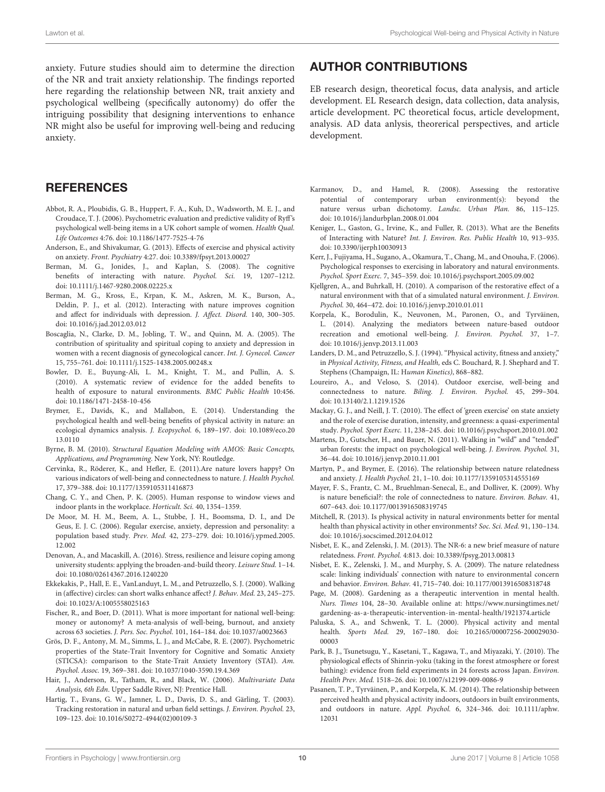anxiety. Future studies should aim to determine the direction of the NR and trait anxiety relationship. The findings reported here regarding the relationship between NR, trait anxiety and psychological wellbeing (specifically autonomy) do offer the intriguing possibility that designing interventions to enhance NR might also be useful for improving well-being and reducing anxiety.

## **REFERENCES**

- <span id="page-9-26"></span>Abbot, R. A., Ploubidis, G. B., Huppert, F. A., Kuh, D., Wadsworth, M. E. J., and Croudace, T. J. (2006). Psychometric evaluation and predictive validity of Ryff's psychological well-being items in a UK cohort sample of women. Health Qual. Life Outcomes 4:76. doi: [10.1186/1477-7525-4-76](https://doi.org/10.1186/1477-7525-4-76)
- <span id="page-9-31"></span>Anderson, E., and Shivakumar, G. (2013). Effects of exercise and physical activity on anxiety. Front. Psychiatry 4:27. doi: [10.3389/fpsyt.2013.00027](https://doi.org/10.3389/fpsyt.2013.00027)
- <span id="page-9-6"></span>Berman, M. G., Jonides, J., and Kaplan, S. (2008). The cognitive benefits of interacting with nature. Psychol. Sci. 19, 1207-1212. doi: [10.1111/j.1467-9280.2008.02225.x](https://doi.org/10.1111/j.1467-9280.2008.02225.x)
- <span id="page-9-7"></span>Berman, M. G., Kross, E., Krpan, K. M., Askren, M. K., Burson, A., Deldin, P. J., et al. (2012). Interacting with nature improves cognition and affect for individuals with depression. J. Affect. Disord. 140, 300–305. doi: [10.1016/j.jad.2012.03.012](https://doi.org/10.1016/j.jad.2012.03.012)
- <span id="page-9-34"></span>Boscaglia, N., Clarke, D. M., Jobling, T. W., and Quinn, M. A. (2005). The contribution of spirituality and spiritual coping to anxiety and depression in women with a recent diagnosis of gynecological cancer. Int. J. Gynecol. Cancer 15, 755–761. doi: [10.1111/j.1525-1438.2005.00248.x](https://doi.org/10.1111/j.1525-1438.2005.00248.x)
- <span id="page-9-0"></span>Bowler, D. E., Buyung-Ali, L. M., Knight, T. M., and Pullin, A. S. (2010). A systematic review of evidence for the added benefits to health of exposure to natural environments. BMC Public Health 10:456. doi: [10.1186/1471-2458-10-456](https://doi.org/10.1186/1471-2458-10-456)
- <span id="page-9-17"></span>Brymer, E., Davids, K., and Mallabon, E. (2014). Understanding the psychological health and well-being benefits of physical activity in nature: an ecological dynamics analysis. J. Ecopsychol. [6, 189–197. doi: 10.1089/eco.20](https://doi.org/10.1089/eco.2013.0110) 13.0110
- <span id="page-9-27"></span>Byrne, B. M. (2010). Structural Equation Modeling with AMOS: Basic Concepts, Applications, and Programming. New York, NY: Routledge.
- <span id="page-9-22"></span>Cervinka, R., Röderer, K., and Hefler, E. (2011).Are nature lovers happy? On various indicators of well-being and connectedness to nature. J. Health Psychol. 17, 379–388. doi: [10.1177/1359105311416873](https://doi.org/10.1177/1359105311416873)
- <span id="page-9-1"></span>Chang, C. Y., and Chen, P. K. (2005). Human response to window views and indoor plants in the workplace. Horticult. Sci. 40, 1354–1359.
- <span id="page-9-29"></span>De Moor, M. H. M., Beem, A. L., Stubbe, J. H., Boomsma, D. I., and De Geus, E. J. C. (2006). Regular exercise, anxiety, depression and personality: a population based study. Prev. Med. [42, 273–279. doi: 10.1016/j.ypmed.2005.](https://doi.org/10.1016/j.ypmed.2005.12.002) 12.002
- <span id="page-9-33"></span>Denovan, A., and Macaskill, A. (2016). Stress, resilience and leisure coping among university students: applying the broaden-and-build theory. Leisure Stud. 1–14. doi: [10.1080/02614367.2016.1240220](https://doi.org/10.1080/02614367.2016.1240220)
- <span id="page-9-21"></span>Ekkekakis, P., Hall, E. E., VanLanduyt, L. M., and Petruzzello, S. J. (2000). Walking in (affective) circles: can short walks enhance affect? J. Behav. Med. 23, 245–275. doi: [10.1023/A:1005558025163](https://doi.org/10.1023/A:1005558025163)
- <span id="page-9-32"></span>Fischer, R., and Boer, D. (2011). What is more important for national well-being: money or autonomy? A meta-analysis of well-being, burnout, and anxiety across 63 societies. J. Pers. Soc. Psychol. 101, 164–184. doi: [10.1037/a0023663](https://doi.org/10.1037/a0023663)
- <span id="page-9-28"></span>Grös, D. F., Antony, M. M., Simms, L. J., and McCabe, R. E. (2007). Psychometric properties of the State-Trait Inventory for Cognitive and Somatic Anxiety (STICSA): comparison to the State-Trait Anxiety Inventory (STAI). Am. Psychol. Assoc. 19, 369–381. doi: [10.1037/1040-3590.19.4.369](https://doi.org/10.1037/1040-3590.19.4.369)
- <span id="page-9-25"></span>Hair, J., Anderson, R., Tatham, R., and Black, W. (2006). Multivariate Data Analysis, 6th Edn. Upper Saddle River, NJ: Prentice Hall.
- <span id="page-9-5"></span>Hartig, T., Evans, G. W., Jamner, L. D., Davis, D. S., and Gärling, T. (2003). Tracking restoration in natural and urban field settings. J. Environ. Psychol. 23, 109–123. doi: [10.1016/S0272-4944\(02\)00109-3](https://doi.org/10.1016/S0272-4944(02)00109-3)

## AUTHOR CONTRIBUTIONS

EB research design, theoretical focus, data analysis, and article development. EL Research design, data collection, data analysis, article development. PC theoretical focus, article development, analysis. AD data anlysis, theorerical perspectives, and article development.

- <span id="page-9-14"></span>Karmanov, D., and Hamel, R. (2008). Assessing the restorative potential of contemporary urban environment(s): beyond the nature versus urban dichotomy. Landsc. Urban Plan. 86, 115–125. doi: [10.1016/j.landurbplan.2008.01.004](https://doi.org/10.1016/j.landurbplan.2008.01.004)
- <span id="page-9-16"></span>Keniger, L., Gaston, G., Irvine, K., and Fuller, R. (2013). What are the Benefits of Interacting with Nature? Int. J. Environ. Res. Public Health 10, 913–935. doi: [10.3390/ijerph10030913](https://doi.org/10.3390/ijerph10030913)
- <span id="page-9-20"></span>Kerr, J., Fujiyama, H., Sugano, A., Okamura, T., Chang, M., and Onouha, F. (2006). Psychological responses to exercising in laboratory and natural environments. Psychol. Sport Exerc. 7, 345–359. doi: [10.1016/j.psychsport.2005.09.002](https://doi.org/10.1016/j.psychsport.2005.09.002)
- <span id="page-9-15"></span>Kjellgren, A., and Buhrkall, H. (2010). A comparison of the restorative effect of a natural environment with that of a simulated natural environment. J. Environ. Psychol. 30, 464–472. doi: [10.1016/j.jenvp.2010.01.011](https://doi.org/10.1016/j.jenvp.2010.01.011)
- <span id="page-9-13"></span>Korpela, K., Borodulin, K., Neuvonen, M., Paronen, O., and Tyrväinen, L. (2014). Analyzing the mediators between nature-based outdoor recreation and emotional well-being. J. Environ. Psychol. 37, 1–7. doi: [10.1016/j.jenvp.2013.11.003](https://doi.org/10.1016/j.jenvp.2013.11.003)
- <span id="page-9-30"></span>Landers, D. M., and Petruzzello, S. J. (1994). "Physical activity, fitness and anxiety," in Physical Activity, Fitness, and Health, eds C. Bouchard, R. J. Shephard and T. Stephens (Champaign, IL: Human Kinetics), 868–882.
- <span id="page-9-19"></span>Loureiro, A., and Veloso, S. (2014). Outdoor exercise, well-being and connectedness to nature. Biling. J. Environ. Psychol. 45, 299–304. doi: [10.13140/2.1.1219.1526](https://doi.org/10.13140/2.1.1219.1526)
- <span id="page-9-9"></span>Mackay, G. J., and Neill, J. T. (2010). The effect of 'green exercise' on state anxiety and the role of exercise duration, intensity, and greenness: a quasi-experimental study. Psychol. Sport Exerc. 11, 238–245. doi: [10.1016/j.psychsport.2010.01.002](https://doi.org/10.1016/j.psychsport.2010.01.002)
- <span id="page-9-18"></span>Martens, D., Gutscher, H., and Bauer, N. (2011). Walking in "wild" and "tended" urban forests: the impact on psychological well-being. J. Environ. Psychol. 31, 36–44. doi: [10.1016/j.jenvp.2010.11.001](https://doi.org/10.1016/j.jenvp.2010.11.001)
- <span id="page-9-11"></span>Martyn, P., and Brymer, E. (2016). The relationship between nature relatedness and anxiety. J. Health Psychol. 21, 1–10. doi: [10.1177/1359105314555169](https://doi.org/10.1177/1359105314555169)
- <span id="page-9-8"></span>Mayer, F. S., Frantz, C. M., Bruehlman-Senecal, E., and Dolliver, K. (2009). Why is nature beneficial?: the role of connectedness to nature. Environ. Behav. 41, 607–643. doi: [10.1177/0013916508319745](https://doi.org/10.1177/0013916508319745)
- <span id="page-9-2"></span>Mitchell, R. (2013). Is physical activity in natural environments better for mental health than physical activity in other environments? Soc. Sci. Med. 91, 130–134. doi: [10.1016/j.socscimed.2012.04.012](https://doi.org/10.1016/j.socscimed.2012.04.012)
- <span id="page-9-24"></span>Nisbet, E. K., and Zelenski, J. M. (2013). The NR-6: a new brief measure of nature relatedness. Front. Psychol. 4:813. doi: [10.3389/fpsyg.2013.00813](https://doi.org/10.3389/fpsyg.2013.00813)
- <span id="page-9-23"></span>Nisbet, E. K., Zelenski, J. M., and Murphy, S. A. (2009). The nature relatedness scale: linking individuals' connection with nature to environmental concern and behavior. Environ. Behav. 41, 715–740. doi: [10.1177/0013916508318748](https://doi.org/10.1177/0013916508318748)
- <span id="page-9-3"></span>Page, M. (2008). Gardening as a therapeutic intervention in mental health. Nurs. Times 104, 28–30. Available online at: [https://www.nursingtimes.net/](https://www.nursingtimes.net/gardening-as-a-therapeutic-intervention-in-mental-health/1921374.article) [gardening-as-a-therapeutic-intervention-in-mental-health/1921374.article](https://www.nursingtimes.net/gardening-as-a-therapeutic-intervention-in-mental-health/1921374.article)
- <span id="page-9-10"></span>Paluska, S. A., and Schwenk, T. L. (2000). Physical activity and mental health. Sports Med. [29, 167–180. doi: 10.2165/00007256-200029030-](https://doi.org/10.2165/00007256-200029030-00003) 00003
- <span id="page-9-12"></span>Park, B. J., Tsunetsugu, Y., Kasetani, T., Kagawa, T., and Miyazaki, Y. (2010). The physiological effects of Shinrin-yoku (taking in the forest atmosphere or forest bathing): evidence from field experiments in 24 forests across Japan. Environ. Health Prev. Med. 1518–26. doi: [10.1007/s12199-009-0086-9](https://doi.org/10.1007/s12199-009-0086-9)
- <span id="page-9-4"></span>Pasanen, T. P., Tyrväinen, P., and Korpela, K. M. (2014). The relationship between perceived health and physical activity indoors, outdoors in built environments, and outdoors in nature. Appl. Psychol. [6, 324–346. doi: 10.1111/aphw.](https://doi.org/10.1111/aphw.12031) 12031